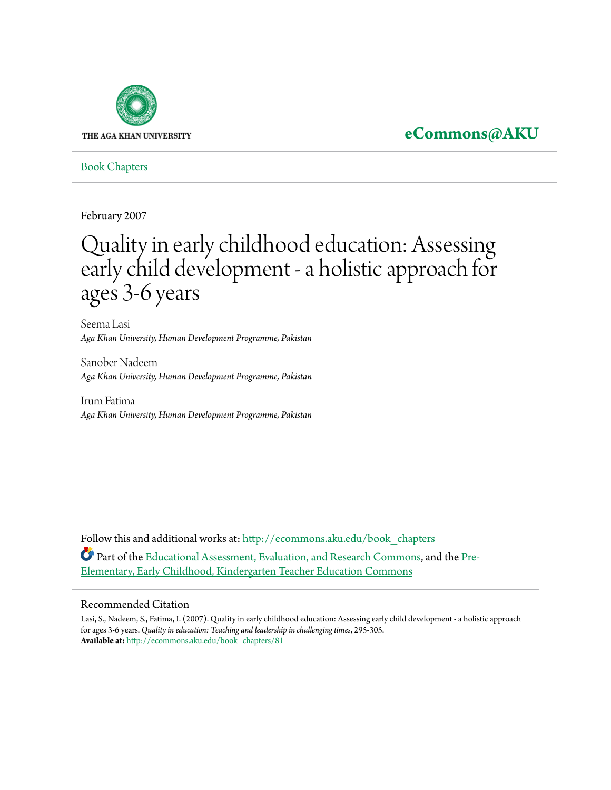

## **[eCommons@AKU](http://ecommons.aku.edu?utm_source=ecommons.aku.edu%2Fbook_chapters%2F81&utm_medium=PDF&utm_campaign=PDFCoverPages)**

[Book Chapters](http://ecommons.aku.edu/book_chapters?utm_source=ecommons.aku.edu%2Fbook_chapters%2F81&utm_medium=PDF&utm_campaign=PDFCoverPages)

February 2007

# Quality in early childhood education: Assessing early child development - a holistic approach for ages 3-6 years

Seema Lasi *Aga Khan University, Human Development Programme, Pakistan*

Sanober Nadeem *Aga Khan University, Human Development Programme, Pakistan*

Irum Fatima *Aga Khan University, Human Development Programme, Pakistan*

Follow this and additional works at: [http://ecommons.aku.edu/book\\_chapters](http://ecommons.aku.edu/book_chapters?utm_source=ecommons.aku.edu%2Fbook_chapters%2F81&utm_medium=PDF&utm_campaign=PDFCoverPages) Part of the [Educational Assessment, Evaluation, and Research Commons,](http://network.bepress.com/hgg/discipline/796?utm_source=ecommons.aku.edu%2Fbook_chapters%2F81&utm_medium=PDF&utm_campaign=PDFCoverPages) and the [Pre-](http://network.bepress.com/hgg/discipline/808?utm_source=ecommons.aku.edu%2Fbook_chapters%2F81&utm_medium=PDF&utm_campaign=PDFCoverPages)[Elementary, Early Childhood, Kindergarten Teacher Education Commons](http://network.bepress.com/hgg/discipline/808?utm_source=ecommons.aku.edu%2Fbook_chapters%2F81&utm_medium=PDF&utm_campaign=PDFCoverPages)

#### Recommended Citation

Lasi, S., Nadeem, S., Fatima, I. (2007). Quality in early childhood education: Assessing early child development - a holistic approach for ages 3-6 years. *Quality in education: Teaching and leadership in challenging times*, 295-305. **Available at:** [http://ecommons.aku.edu/book\\_chapters/81](http://ecommons.aku.edu/book_chapters/81)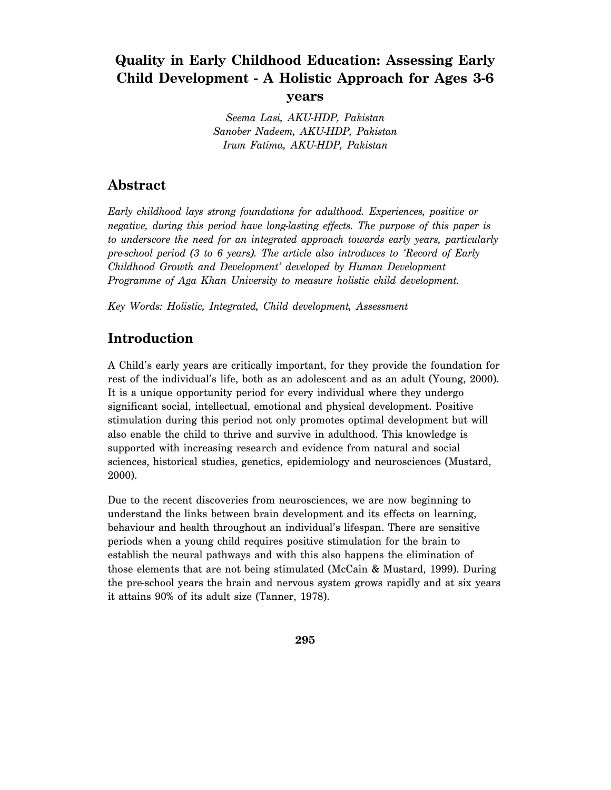## **Quality in Early Childhood Education: Assessing Early Child Development - A Holistic Approach for Ages 3-6 years**

*Seema Lasi, AKU-HDP, Pakistan Sanober Nadeem, AKU-HDP, Pakistan Irum Fatima, AKU-HDP, Pakistan* 

### **Abstract**

*Early childhood lays strong foundations for adulthood. Experiences, positive or negative, during this period have long-lasting effects. The purpose of this paper is to underscore the need for an integrated approach towards early years, particularly pre-school period (3 to 6 years). The article also introduces to 'Record of Early Childhood Growth and Development' developed by Human Development Programme of Aga Khan University to measure holistic child development.* 

*Key Words: Holistic, Integrated, Child development, Assessment* 

## **Introduction**

A Child's early years are critically important, for they provide the foundation for rest of the individual's life, both as an adolescent and as an adult (Young, 2000). It is a unique opportunity period for every individual where they undergo significant social, intellectual, emotional and physical development. Positive stimulation during this period not only promotes optimal development but will also enable the child to thrive and survive in adulthood. This knowledge is supported with increasing research and evidence from natural and social sciences, historical studies, genetics, epidemiology and neurosciences (Mustard, 2000).

Due to the recent discoveries from neurosciences, we are now beginning to understand the links between brain development and its effects on learning, behaviour and health throughout an individual's lifespan. There are sensitive periods when a young child requires positive stimulation for the brain to establish the neural pathways and with this also happens the elimination of those elements that are not being stimulated (McCain & Mustard, 1999). During the pre-school years the brain and nervous system grows rapidly and at six years it attains 90% of its adult size (Tanner, 1978).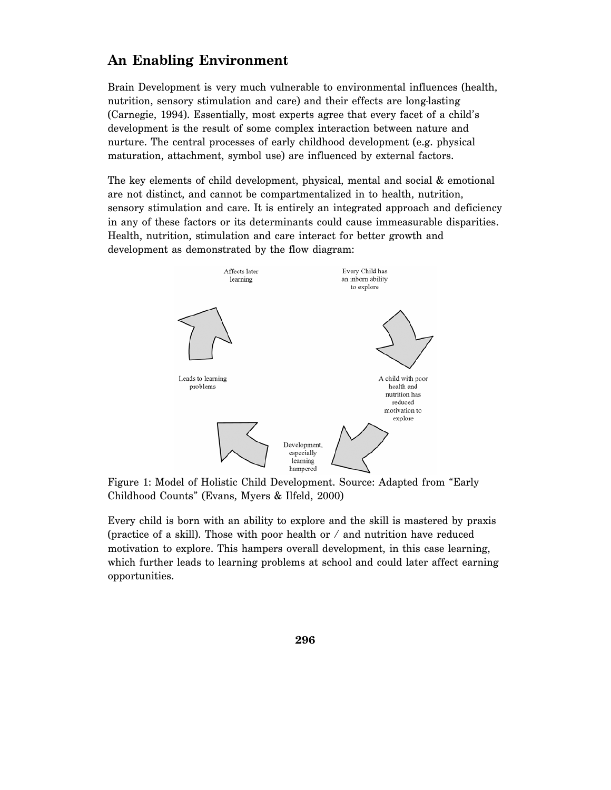## **An Enabling Environment**

Brain Development is very much vulnerable to environmental influences (health, nutrition, sensory stimulation and care) and their effects are long-lasting (Carnegie, 1994). Essentially, most experts agree that every facet of a child's development is the result of some complex interaction between nature and nurture. The central processes of early childhood development (e.g. physical maturation, attachment, symbol use) are influenced by external factors.

The key elements of child development, physical, mental and social & emotional are not distinct, and cannot be compartmentalized in to health, nutrition, sensory stimulation and care. It is entirely an integrated approach and deficiency in any of these factors or its determinants could cause immeasurable disparities. Health, nutrition, stimulation and care interact for better growth and development as demonstrated by the flow diagram:



Figure 1: Model of Holistic Child Development. Source: Adapted from "Early Childhood Counts" (Evans, Myers & Ilfeld, 2000)

Every child is born with an ability to explore and the skill is mastered by praxis (practice of a skill). Those with poor health or / and nutrition have reduced motivation to explore. This hampers overall development, in this case learning, which further leads to learning problems at school and could later affect earning opportunities.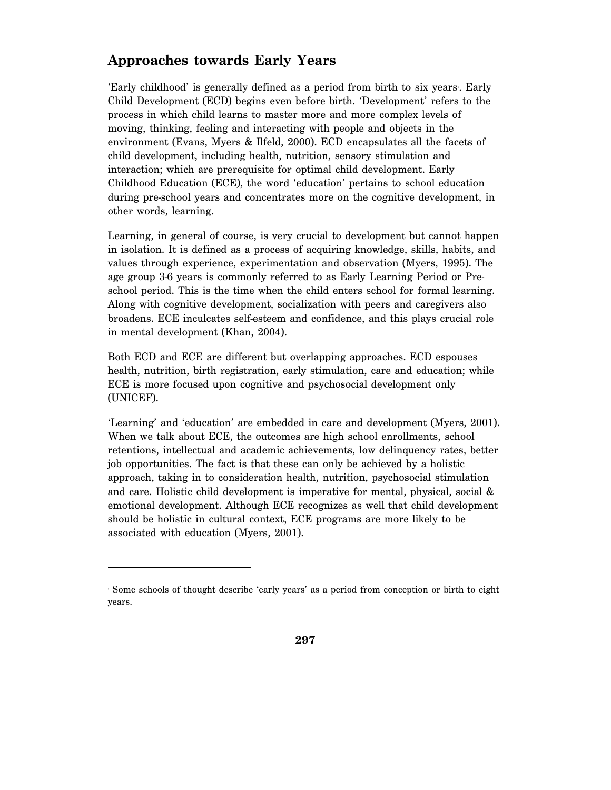## **Approaches towards Early Years**

'Early childhood' is generally defined as a period from birth to six years. Early Child Development (ECD) begins even before birth. 'Development' refers to the process in which child learns to master more and more complex levels of moving, thinking, feeling and interacting with people and objects in the environment (Evans, Myers & Ilfeld, 2000). ECD encapsulates all the facets of child development, including health, nutrition, sensory stimulation and interaction; which are prerequisite for optimal child development. Early Childhood Education (ECE), the word 'education' pertains to school education during pre-school years and concentrates more on the cognitive development, in other words, learning.

Learning, in general of course, is very crucial to development but cannot happen in isolation. It is defined as a process of acquiring knowledge, skills, habits, and values through experience, experimentation and observation (Myers, 1995). The age group 3-6 years is commonly referred to as Early Learning Period or Preschool period. This is the time when the child enters school for formal learning. Along with cognitive development, socialization with peers and caregivers also broadens. ECE inculcates self-esteem and confidence, and this plays crucial role in mental development (Khan, 2004).

Both ECD and ECE are different but overlapping approaches. ECD espouses health, nutrition, birth registration, early stimulation, care and education; while ECE is more focused upon cognitive and psychosocial development only (UNICEF).

'Learning' and 'education' are embedded in care and development (Myers, 2001). When we talk about ECE, the outcomes are high school enrollments, school retentions, intellectual and academic achievements, low delinquency rates, better job opportunities. The fact is that these can only be achieved by a holistic approach, taking in to consideration health, nutrition, psychosocial stimulation and care. Holistic child development is imperative for mental, physical, social & emotional development. Although ECE recognizes as well that child development should be holistic in cultural context, ECE programs are more likely to be associated with education (Myers, 2001).

-

<sup>1</sup> Some schools of thought describe 'early years' as a period from conception or birth to eight years.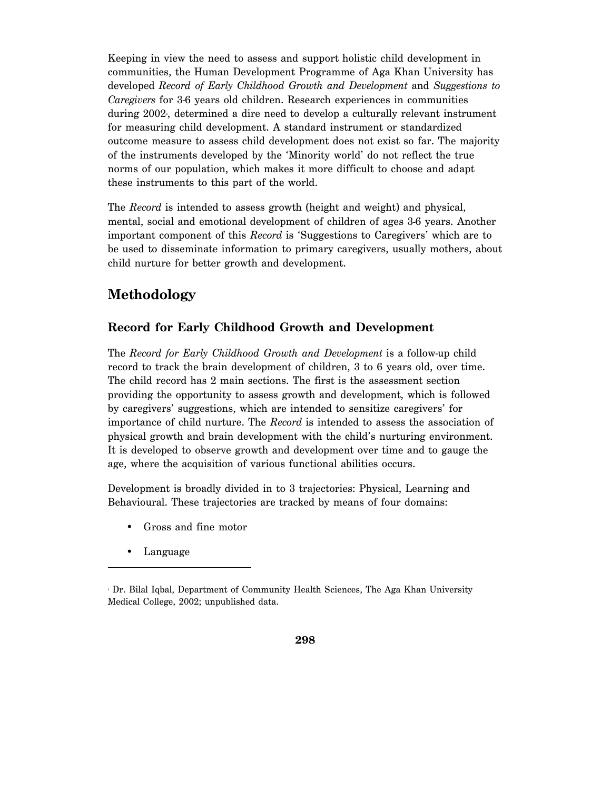Keeping in view the need to assess and support holistic child development in communities, the Human Development Programme of Aga Khan University has developed *Record of Early Childhood Growth and Development* and *Suggestions to Caregivers* for 3-6 years old children. Research experiences in communities during 2002, determined a dire need to develop a culturally relevant instrument for measuring child development. A standard instrument or standardized outcome measure to assess child development does not exist so far. The majority of the instruments developed by the 'Minority world' do not reflect the true norms of our population, which makes it more difficult to choose and adapt these instruments to this part of the world.

The *Record* is intended to assess growth (height and weight) and physical, mental, social and emotional development of children of ages 3-6 years. Another important component of this *Record* is 'Suggestions to Caregivers' which are to be used to disseminate information to primary caregivers, usually mothers, about child nurture for better growth and development.

## **Methodology**

#### **Record for Early Childhood Growth and Development**

The *Record for Early Childhood Growth and Development* is a follow-up child record to track the brain development of children, 3 to 6 years old, over time. The child record has 2 main sections. The first is the assessment section providing the opportunity to assess growth and development, which is followed by caregivers' suggestions, which are intended to sensitize caregivers' for importance of child nurture. The *Record* is intended to assess the association of physical growth and brain development with the child's nurturing environment. It is developed to observe growth and development over time and to gauge the age, where the acquisition of various functional abilities occurs.

Development is broadly divided in to 3 trajectories: Physical, Learning and Behavioural. These trajectories are tracked by means of four domains:

- Gross and fine motor
- Language

-

<sup>2</sup> Dr. Bilal Iqbal, Department of Community Health Sciences, The Aga Khan University Medical College, 2002; unpublished data.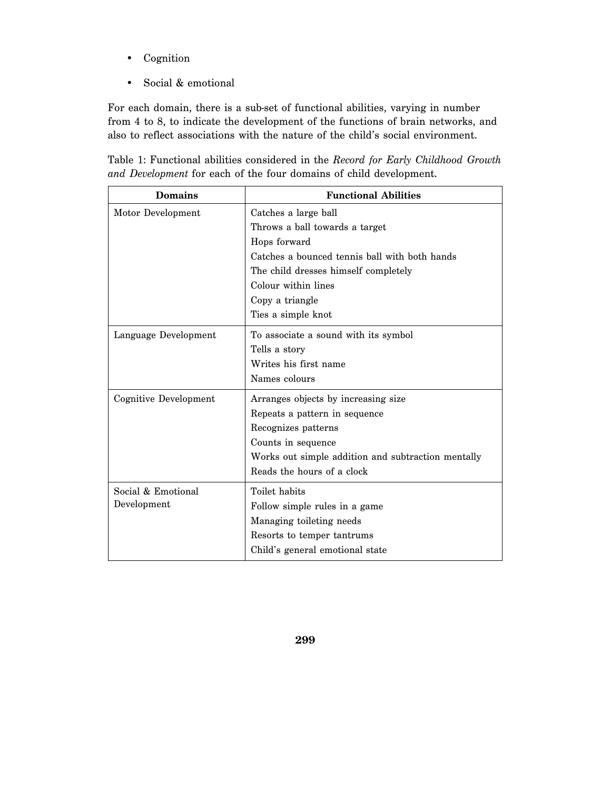- Cognition
- Social & emotional

For each domain, there is a sub-set of functional abilities, varying in number from 4 to 8, to indicate the development of the functions of brain networks, and also to reflect associations with the nature of the child's social environment.

Table 1: Functional abilities considered in the *Record for Early Childhood Growth and Development* for each of the four domains of child development.

| <b>Domains</b>                    | <b>Functional Abilities</b>                                                                                                                                                                                                     |
|-----------------------------------|---------------------------------------------------------------------------------------------------------------------------------------------------------------------------------------------------------------------------------|
| Motor Development                 | Catches a large ball<br>Throws a ball towards a target<br>Hops forward<br>Catches a bounced tennis ball with both hands<br>The child dresses himself completely<br>Colour within lines<br>Copy a triangle<br>Ties a simple knot |
| Language Development              | To associate a sound with its symbol<br>Tells a story<br>Writes his first name<br>Names colours                                                                                                                                 |
| Cognitive Development             | Arranges objects by increasing size<br>Repeats a pattern in sequence<br>Recognizes patterns<br>Counts in sequence<br>Works out simple addition and subtraction mentally<br>Reads the hours of a clock                           |
| Social & Emotional<br>Development | Toilet habits<br>Follow simple rules in a game<br>Managing toileting needs<br>Resorts to temper tantrums<br>Child's general emotional state                                                                                     |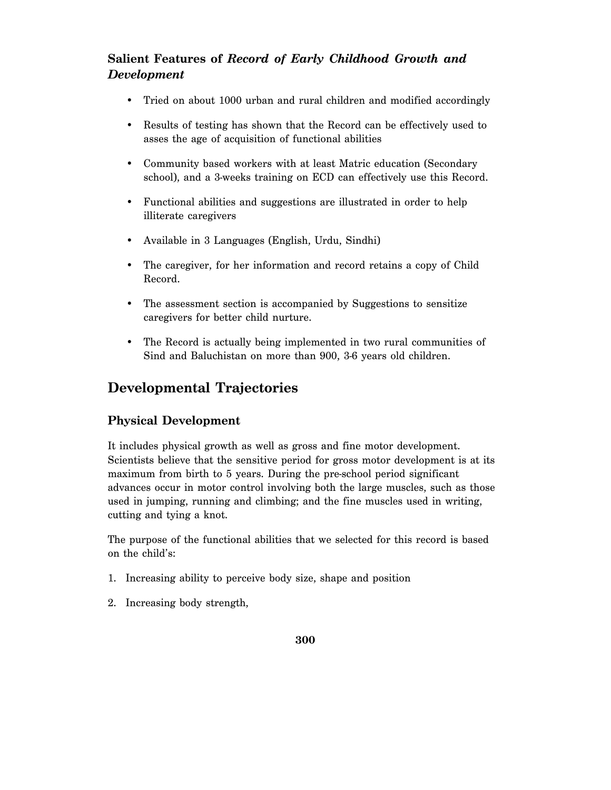#### **Salient Features of** *Record of Early Childhood Growth and Development*

- Tried on about 1000 urban and rural children and modified accordingly
- Results of testing has shown that the Record can be effectively used to asses the age of acquisition of functional abilities
- Community based workers with at least Matric education (Secondary school), and a 3-weeks training on ECD can effectively use this Record.
- Functional abilities and suggestions are illustrated in order to help illiterate caregivers
- Available in 3 Languages (English, Urdu, Sindhi)
- The caregiver, for her information and record retains a copy of Child Record.
- The assessment section is accompanied by Suggestions to sensitize caregivers for better child nurture.
- The Record is actually being implemented in two rural communities of Sind and Baluchistan on more than 900, 3-6 years old children.

## **Developmental Trajectories**

#### **Physical Development**

It includes physical growth as well as gross and fine motor development. Scientists believe that the sensitive period for gross motor development is at its maximum from birth to 5 years. During the pre-school period significant advances occur in motor control involving both the large muscles, such as those used in jumping, running and climbing; and the fine muscles used in writing, cutting and tying a knot.

The purpose of the functional abilities that we selected for this record is based on the child's:

- 1. Increasing ability to perceive body size, shape and position
- 2. Increasing body strength,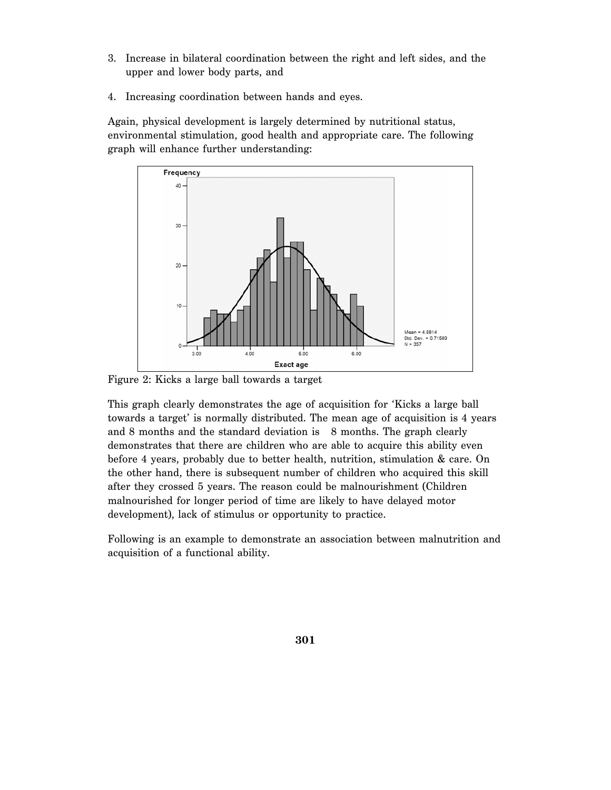- 3. Increase in bilateral coordination between the right and left sides, and the upper and lower body parts, and
- 4. Increasing coordination between hands and eyes.

Again, physical development is largely determined by nutritional status, environmental stimulation, good health and appropriate care. The following graph will enhance further understanding:



Figure 2: Kicks a large ball towards a target

This graph clearly demonstrates the age of acquisition for 'Kicks a large ball towards a target' is normally distributed. The mean age of acquisition is 4 years and 8 months and the standard deviation is 8 months. The graph clearly demonstrates that there are children who are able to acquire this ability even before 4 years, probably due to better health, nutrition, stimulation & care. On the other hand, there is subsequent number of children who acquired this skill after they crossed 5 years. The reason could be malnourishment (Children malnourished for longer period of time are likely to have delayed motor development), lack of stimulus or opportunity to practice.

Following is an example to demonstrate an association between malnutrition and acquisition of a functional ability.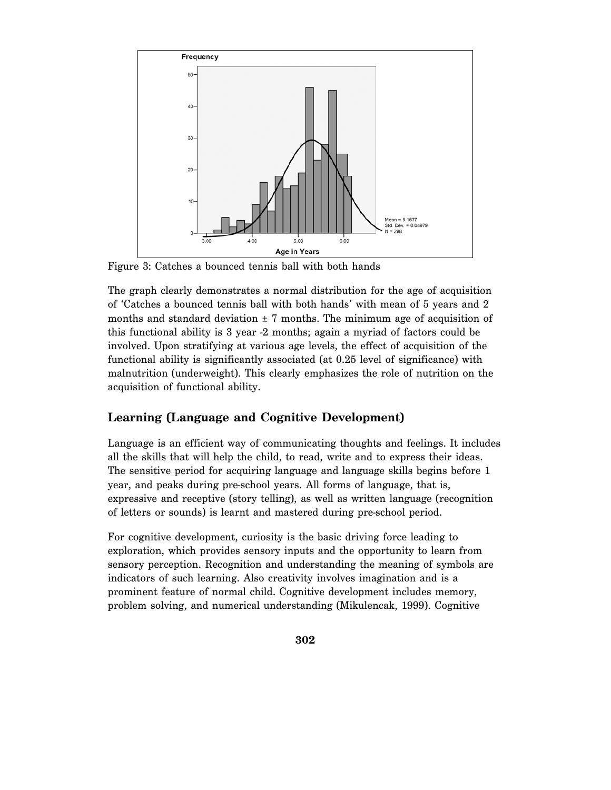

Figure 3: Catches a bounced tennis ball with both hands

The graph clearly demonstrates a normal distribution for the age of acquisition of 'Catches a bounced tennis ball with both hands' with mean of 5 years and 2 months and standard deviation  $\pm$  7 months. The minimum age of acquisition of this functional ability is 3 year -2 months; again a myriad of factors could be involved. Upon stratifying at various age levels, the effect of acquisition of the functional ability is significantly associated (at 0.25 level of significance) with malnutrition (underweight). This clearly emphasizes the role of nutrition on the acquisition of functional ability.

#### **Learning (Language and Cognitive Development)**

Language is an efficient way of communicating thoughts and feelings. It includes all the skills that will help the child, to read, write and to express their ideas. The sensitive period for acquiring language and language skills begins before 1 year, and peaks during pre-school years. All forms of language, that is, expressive and receptive (story telling), as well as written language (recognition of letters or sounds) is learnt and mastered during pre-school period.

For cognitive development, curiosity is the basic driving force leading to exploration, which provides sensory inputs and the opportunity to learn from sensory perception. Recognition and understanding the meaning of symbols are indicators of such learning. Also creativity involves imagination and is a prominent feature of normal child. Cognitive development includes memory, problem solving, and numerical understanding (Mikulencak, 1999). Cognitive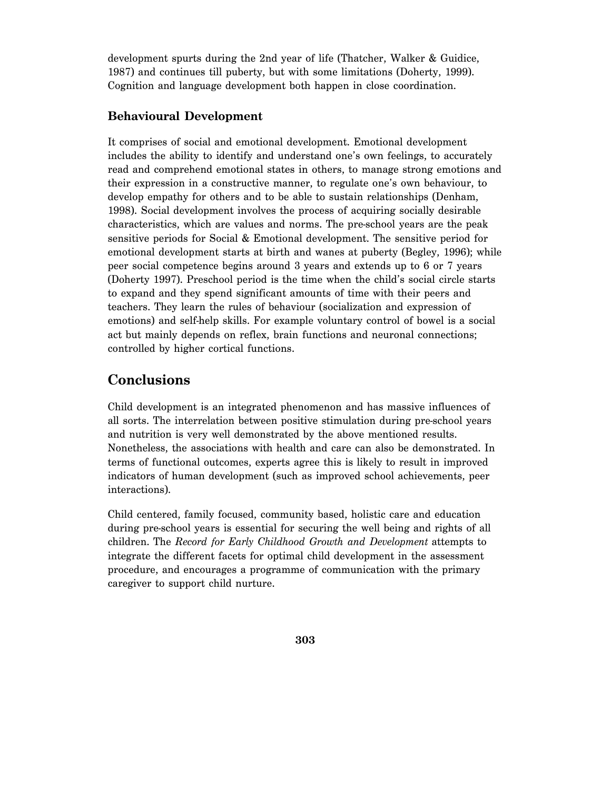development spurts during the 2nd year of life (Thatcher, Walker & Guidice, 1987) and continues till puberty, but with some limitations (Doherty, 1999). Cognition and language development both happen in close coordination.

#### **Behavioural Development**

It comprises of social and emotional development. Emotional development includes the ability to identify and understand one's own feelings, to accurately read and comprehend emotional states in others, to manage strong emotions and their expression in a constructive manner, to regulate one's own behaviour, to develop empathy for others and to be able to sustain relationships (Denham, 1998). Social development involves the process of acquiring socially desirable characteristics, which are values and norms. The pre-school years are the peak sensitive periods for Social & Emotional development. The sensitive period for emotional development starts at birth and wanes at puberty (Begley, 1996); while peer social competence begins around 3 years and extends up to 6 or 7 years (Doherty 1997). Preschool period is the time when the child's social circle starts to expand and they spend significant amounts of time with their peers and teachers. They learn the rules of behaviour (socialization and expression of emotions) and self-help skills. For example voluntary control of bowel is a social act but mainly depends on reflex, brain functions and neuronal connections; controlled by higher cortical functions.

## **Conclusions**

Child development is an integrated phenomenon and has massive influences of all sorts. The interrelation between positive stimulation during pre-school years and nutrition is very well demonstrated by the above mentioned results. Nonetheless, the associations with health and care can also be demonstrated. In terms of functional outcomes, experts agree this is likely to result in improved indicators of human development (such as improved school achievements, peer interactions).

Child centered, family focused, community based, holistic care and education during pre-school years is essential for securing the well being and rights of all children. The *Record for Early Childhood Growth and Development* attempts to integrate the different facets for optimal child development in the assessment procedure, and encourages a programme of communication with the primary caregiver to support child nurture.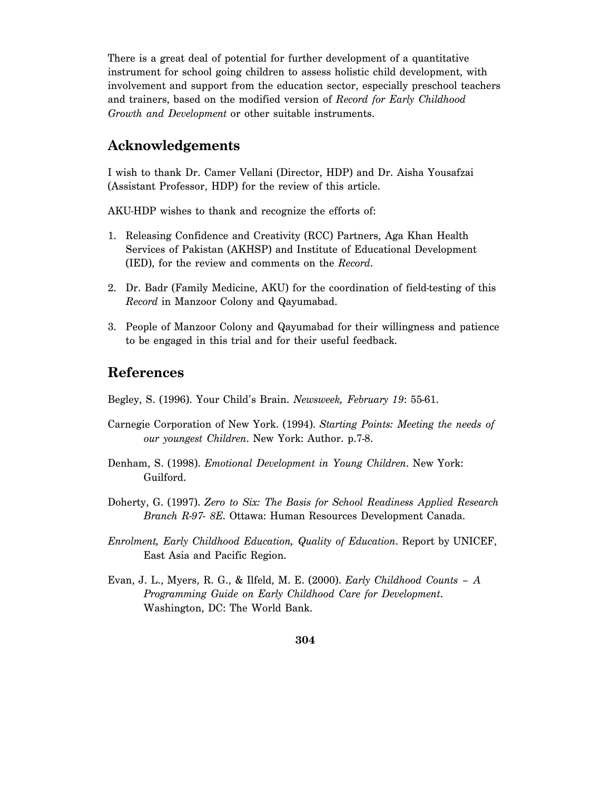There is a great deal of potential for further development of a quantitative instrument for school going children to assess holistic child development, with involvement and support from the education sector, especially preschool teachers and trainers, based on the modified version of *Record for Early Childhood Growth and Development* or other suitable instruments.

#### **Acknowledgements**

I wish to thank Dr. Camer Vellani (Director, HDP) and Dr. Aisha Yousafzai (Assistant Professor, HDP) for the review of this article.

AKU-HDP wishes to thank and recognize the efforts of:

- 1. Releasing Confidence and Creativity (RCC) Partners, Aga Khan Health Services of Pakistan (AKHSP) and Institute of Educational Development (IED), for the review and comments on the *Record*.
- 2. Dr. Badr (Family Medicine, AKU) for the coordination of field-testing of this *Record* in Manzoor Colony and Qayumabad.
- 3. People of Manzoor Colony and Qayumabad for their willingness and patience to be engaged in this trial and for their useful feedback.

#### **References**

- Begley, S. (1996). Your Child's Brain. *Newsweek, February 19*: 55-61.
- Carnegie Corporation of New York. (1994). *Starting Points: Meeting the needs of our youngest Children*. New York: Author. p.7-8.
- Denham, S. (1998). *Emotional Development in Young Children*. New York: Guilford.
- Doherty, G. (1997). *Zero to Six: The Basis for School Readiness Applied Research Branch R-97- 8E*. Ottawa: Human Resources Development Canada.
- *Enrolment, Early Childhood Education, Quality of Education*. Report by UNICEF, East Asia and Pacific Region.
- Evan, J. L., Myers, R. G., & Ilfeld, M. E. (2000). *Early Childhood Counts A Programming Guide on Early Childhood Care for Development*. Washington, DC: The World Bank.